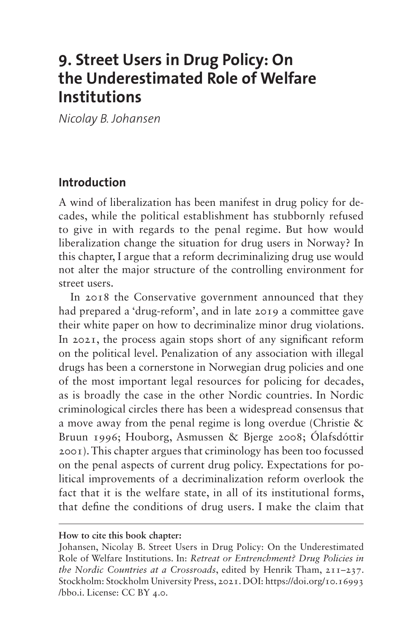# **9. Street Users in Drug Policy: On the Underestimated Role of Welfare Institutions**

*Nicolay B. Johansen*

### **Introduction**

A wind of liberalization has been manifest in drug policy for decades, while the political establishment has stubbornly refused to give in with regards to the penal regime. But how would liberalization change the situation for drug users in Norway? In this chapter, I argue that a reform decriminalizing drug use would not alter the major structure of the controlling environment for street users.

In 2018 the Conservative government announced that they had prepared a 'drug-reform', and in late 2019 a committee gave their white paper on how to decriminalize minor drug violations. In 2021, the process again stops short of any significant reform on the political level. Penalization of any association with illegal drugs has been a cornerstone in Norwegian drug policies and one of the most important legal resources for policing for decades, as is broadly the case in the other Nordic countries. In Nordic criminological circles there has been a widespread consensus that a move away from the penal regime is long overdue (Christie & Bruun 1996; Houborg, Asmussen & Bjerge 2008; Ólafsdóttir 2001). This chapter argues that criminology has been too focussed on the penal aspects of current drug policy. Expectations for political improvements of a decriminalization reform overlook the fact that it is the welfare state, in all of its institutional forms, that define the conditions of drug users. I make the claim that

#### **How to cite this book chapter:**

Johansen, Nicolay B. Street Users in Drug Policy: On the Underestimated Role of Welfare Institutions. In: *Retreat or Entrenchment? Drug Policies in the Nordic Countries at a Crossroads*, edited by Henrik Tham, 211–237. Stockholm: Stockholm University Press, 2021. DOI: [https://doi.org/10.16993](https://doi.org/10.16993/bbo.i) [/bbo.i](https://doi.org/10.16993/bbo.i). License: CC BY 4.0.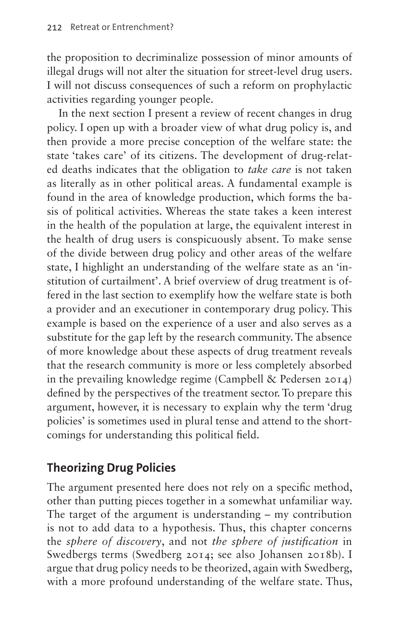the proposition to decriminalize possession of minor amounts of illegal drugs will not alter the situation for street-level drug users. I will not discuss consequences of such a reform on prophylactic activities regarding younger people.

In the next section I present a review of recent changes in drug policy. I open up with a broader view of what drug policy is, and then provide a more precise conception of the welfare state: the state 'takes care' of its citizens. The development of drug-related deaths indicates that the obligation to *take care* is not taken as literally as in other political areas. A fundamental example is found in the area of knowledge production, which forms the basis of political activities. Whereas the state takes a keen interest in the health of the population at large, the equivalent interest in the health of drug users is conspicuously absent. To make sense of the divide between drug policy and other areas of the welfare state, I highlight an understanding of the welfare state as an 'institution of curtailment'. A brief overview of drug treatment is offered in the last section to exemplify how the welfare state is both a provider and an executioner in contemporary drug policy. This example is based on the experience of a user and also serves as a substitute for the gap left by the research community. The absence of more knowledge about these aspects of drug treatment reveals that the research community is more or less completely absorbed in the prevailing knowledge regime (Campbell & Pedersen 2014) defined by the perspectives of the treatment sector. To prepare this argument, however, it is necessary to explain why the term 'drug policies' is sometimes used in plural tense and attend to the shortcomings for understanding this political field.

### **Theorizing Drug Policies**

The argument presented here does not rely on a specific method, other than putting pieces together in a somewhat unfamiliar way. The target of the argument is understanding – my contribution is not to add data to a hypothesis. Thus, this chapter concerns the *sphere of discovery*, and not *the sphere of justification* in Swedbergs terms (Swedberg 2014; see also Johansen 2018b). I argue that drug policy needs to be theorized, again with Swedberg, with a more profound understanding of the welfare state. Thus,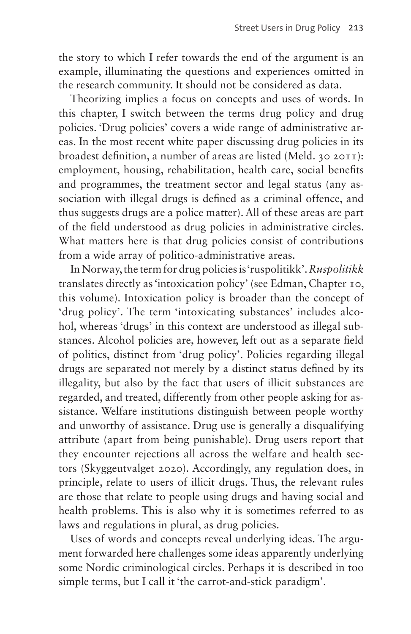the story to which I refer towards the end of the argument is an example, illuminating the questions and experiences omitted in the research community. It should not be considered as data.

Theorizing implies a focus on concepts and uses of words. In this chapter, I switch between the terms drug policy and drug policies. 'Drug policies' covers a wide range of administrative areas. In the most recent white paper discussing drug policies in its broadest definition, a number of areas are listed (Meld. 30 2011): employment, housing, rehabilitation, health care, social benefits and programmes, the treatment sector and legal status (any association with illegal drugs is defined as a criminal offence, and thus suggests drugs are a police matter). All of these areas are part of the field understood as drug policies in administrative circles. What matters here is that drug policies consist of contributions from a wide array of politico-administrative areas.

In Norway, the term for drug policies is 'ruspolitikk'. *Ruspolitikk* translates directly as 'intoxication policy' (see Edman, Chapter 10, this volume). Intoxication policy is broader than the concept of 'drug policy'. The term 'intoxicating substances' includes alcohol, whereas 'drugs' in this context are understood as illegal substances. Alcohol policies are, however, left out as a separate field of politics, distinct from 'drug policy'. Policies regarding illegal drugs are separated not merely by a distinct status defined by its illegality, but also by the fact that users of illicit substances are regarded, and treated, differently from other people asking for assistance. Welfare institutions distinguish between people worthy and unworthy of assistance. Drug use is generally a disqualifying attribute (apart from being punishable). Drug users report that they encounter rejections all across the welfare and health sectors (Skyggeutvalget 2020). Accordingly, any regulation does, in principle, relate to users of illicit drugs. Thus, the relevant rules are those that relate to people using drugs and having social and health problems. This is also why it is sometimes referred to as laws and regulations in plural, as drug policies.

Uses of words and concepts reveal underlying ideas. The argument forwarded here challenges some ideas apparently underlying some Nordic criminological circles. Perhaps it is described in too simple terms, but I call it 'the carrot-and-stick paradigm'.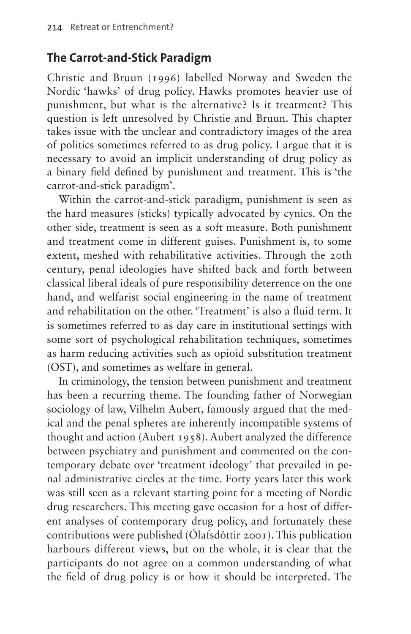### **The Carrot-and-Stick Paradigm**

Christie and Bruun (1996) labelled Norway and Sweden the Nordic 'hawks' of drug policy. Hawks promotes heavier use of punishment, but what is the alternative? Is it treatment? This question is left unresolved by Christie and Bruun. This chapter takes issue with the unclear and contradictory images of the area of politics sometimes referred to as drug policy. I argue that it is necessary to avoid an implicit understanding of drug policy as a binary field defined by punishment and treatment. This is 'the carrot-and-stick paradigm'.

Within the carrot-and-stick paradigm, punishment is seen as the hard measures (sticks) typically advocated by cynics. On the other side, treatment is seen as a soft measure. Both punishment and treatment come in different guises. Punishment is, to some extent, meshed with rehabilitative activities. Through the 20th century, penal ideologies have shifted back and forth between classical liberal ideals of pure responsibility deterrence on the one hand, and welfarist social engineering in the name of treatment and rehabilitation on the other. 'Treatment' is also a fluid term. It is sometimes referred to as day care in institutional settings with some sort of psychological rehabilitation techniques, sometimes as harm reducing activities such as opioid substitution treatment (OST), and sometimes as welfare in general.

In criminology, the tension between punishment and treatment has been a recurring theme. The founding father of Norwegian sociology of law, Vilhelm Aubert, famously argued that the medical and the penal spheres are inherently incompatible systems of thought and action (Aubert 1958). Aubert analyzed the difference between psychiatry and punishment and commented on the contemporary debate over 'treatment ideology' that prevailed in penal administrative circles at the time. Forty years later this work was still seen as a relevant starting point for a meeting of Nordic drug researchers. This meeting gave occasion for a host of different analyses of contemporary drug policy, and fortunately these contributions were published (Ólafsdóttir 2001). This publication harbours different views, but on the whole, it is clear that the participants do not agree on a common understanding of what the field of drug policy is or how it should be interpreted. The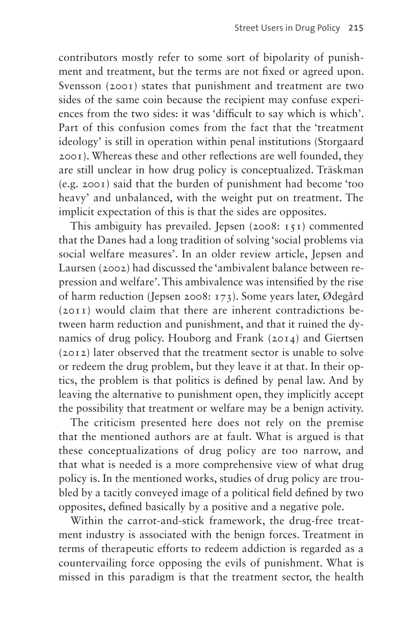contributors mostly refer to some sort of bipolarity of punishment and treatment, but the terms are not fixed or agreed upon. Svensson (2001) states that punishment and treatment are two sides of the same coin because the recipient may confuse experiences from the two sides: it was 'difficult to say which is which'. Part of this confusion comes from the fact that the 'treatment ideology' is still in operation within penal institutions (Storgaard 2001). Whereas these and other reflections are well founded, they are still unclear in how drug policy is conceptualized. Träskman (e.g. 2001) said that the burden of punishment had become 'too heavy' and unbalanced, with the weight put on treatment. The implicit expectation of this is that the sides are opposites.

This ambiguity has prevailed. Jepsen (2008: 151) commented that the Danes had a long tradition of solving 'social problems via social welfare measures'. In an older review article, Jepsen and Laursen (2002) had discussed the 'ambivalent balance between repression and welfare'. This ambivalence was intensified by the rise of harm reduction (Jepsen 2008: 173). Some years later, Ødegård (2011) would claim that there are inherent contradictions between harm reduction and punishment, and that it ruined the dynamics of drug policy. Houborg and Frank (2014) and Giertsen (2012) later observed that the treatment sector is unable to solve or redeem the drug problem, but they leave it at that. In their optics, the problem is that politics is defined by penal law. And by leaving the alternative to punishment open, they implicitly accept the possibility that treatment or welfare may be a benign activity.

The criticism presented here does not rely on the premise that the mentioned authors are at fault. What is argued is that these conceptualizations of drug policy are too narrow, and that what is needed is a more comprehensive view of what drug policy is. In the mentioned works, studies of drug policy are troubled by a tacitly conveyed image of a political field defined by two opposites, defined basically by a positive and a negative pole.

Within the carrot-and-stick framework, the drug-free treatment industry is associated with the benign forces. Treatment in terms of therapeutic efforts to redeem addiction is regarded as a countervailing force opposing the evils of punishment. What is missed in this paradigm is that the treatment sector, the health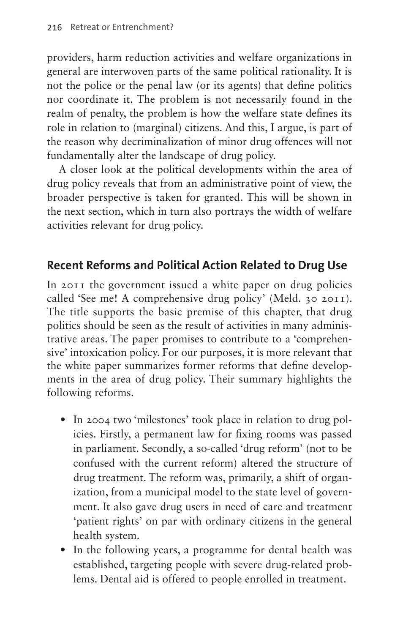providers, harm reduction activities and welfare organizations in general are interwoven parts of the same political rationality. It is not the police or the penal law (or its agents) that define politics nor coordinate it. The problem is not necessarily found in the realm of penalty, the problem is how the welfare state defines its role in relation to (marginal) citizens. And this, I argue, is part of the reason why decriminalization of minor drug offences will not fundamentally alter the landscape of drug policy.

A closer look at the political developments within the area of drug policy reveals that from an administrative point of view, the broader perspective is taken for granted. This will be shown in the next section, which in turn also portrays the width of welfare activities relevant for drug policy.

### **Recent Reforms and Political Action Related to Drug Use**

In 2011 the government issued a white paper on drug policies called 'See me! A comprehensive drug policy' (Meld. 30 2011). The title supports the basic premise of this chapter, that drug politics should be seen as the result of activities in many administrative areas. The paper promises to contribute to a 'comprehensive' intoxication policy. For our purposes, it is more relevant that the white paper summarizes former reforms that define developments in the area of drug policy. Their summary highlights the following reforms.

- In 2004 two 'milestones' took place in relation to drug policies. Firstly, a permanent law for fixing rooms was passed in parliament. Secondly, a so-called 'drug reform' (not to be confused with the current reform) altered the structure of drug treatment. The reform was, primarily, a shift of organization, from a municipal model to the state level of government. It also gave drug users in need of care and treatment 'patient rights' on par with ordinary citizens in the general health system.
- In the following years, a programme for dental health was established, targeting people with severe drug-related problems. Dental aid is offered to people enrolled in treatment.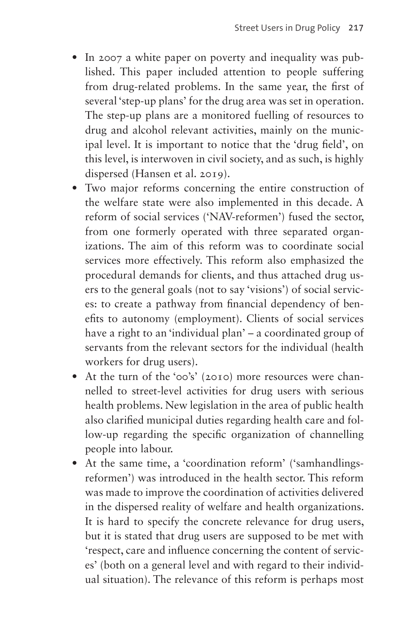- In 2007 a white paper on poverty and inequality was published. This paper included attention to people suffering from drug-related problems. In the same year, the first of several 'step-up plans' for the drug area was set in operation. The step-up plans are a monitored fuelling of resources to drug and alcohol relevant activities, mainly on the municipal level. It is important to notice that the 'drug field', on this level, is interwoven in civil society, and as such, is highly dispersed (Hansen et al. 2019).
- Two major reforms concerning the entire construction of the welfare state were also implemented in this decade. A reform of social services ('NAV-reformen') fused the sector, from one formerly operated with three separated organizations. The aim of this reform was to coordinate social services more effectively. This reform also emphasized the procedural demands for clients, and thus attached drug users to the general goals (not to say 'visions') of social services: to create a pathway from financial dependency of benefits to autonomy (employment). Clients of social services have a right to an 'individual plan' – a coordinated group of servants from the relevant sectors for the individual (health workers for drug users).
- At the turn of the '00's' (2010) more resources were channelled to street-level activities for drug users with serious health problems. New legislation in the area of public health also clarified municipal duties regarding health care and follow-up regarding the specific organization of channelling people into labour.
- At the same time, a 'coordination reform' ('samhandlingsreformen') was introduced in the health sector. This reform was made to improve the coordination of activities delivered in the dispersed reality of welfare and health organizations. It is hard to specify the concrete relevance for drug users, but it is stated that drug users are supposed to be met with 'respect, care and influence concerning the content of services' (both on a general level and with regard to their individual situation). The relevance of this reform is perhaps most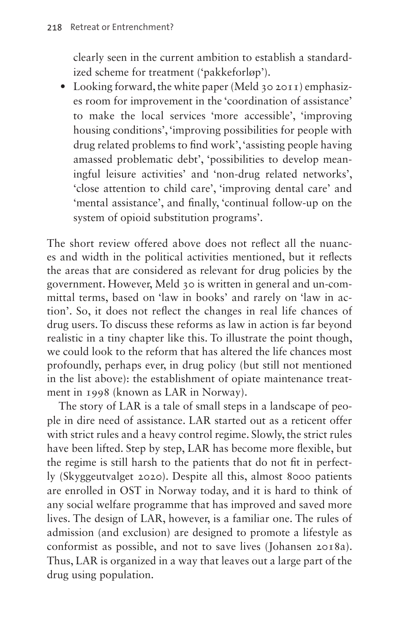clearly seen in the current ambition to establish a standardized scheme for treatment ('pakkeforløp').

• Looking forward, the white paper (Meld 30 2011) emphasizes room for improvement in the 'coordination of assistance' to make the local services 'more accessible', 'improving housing conditions', 'improving possibilities for people with drug related problems to find work', 'assisting people having amassed problematic debt', 'possibilities to develop meaningful leisure activities' and 'non-drug related networks', 'close attention to child care', 'improving dental care' and 'mental assistance', and finally, 'continual follow-up on the system of opioid substitution programs'.

The short review offered above does not reflect all the nuances and width in the political activities mentioned, but it reflects the areas that are considered as relevant for drug policies by the government. However, Meld 30 is written in general and un-committal terms, based on 'law in books' and rarely on 'law in action'. So, it does not reflect the changes in real life chances of drug users. To discuss these reforms as law in action is far beyond realistic in a tiny chapter like this. To illustrate the point though, we could look to the reform that has altered the life chances most profoundly, perhaps ever, in drug policy (but still not mentioned in the list above): the establishment of opiate maintenance treatment in 1998 (known as LAR in Norway).

The story of LAR is a tale of small steps in a landscape of people in dire need of assistance. LAR started out as a reticent offer with strict rules and a heavy control regime. Slowly, the strict rules have been lifted. Step by step, LAR has become more flexible, but the regime is still harsh to the patients that do not fit in perfectly (Skyggeutvalget 2020). Despite all this, almost 8000 patients are enrolled in OST in Norway today, and it is hard to think of any social welfare programme that has improved and saved more lives. The design of LAR, however, is a familiar one. The rules of admission (and exclusion) are designed to promote a lifestyle as conformist as possible, and not to save lives (Johansen 2018a). Thus, LAR is organized in a way that leaves out a large part of the drug using population.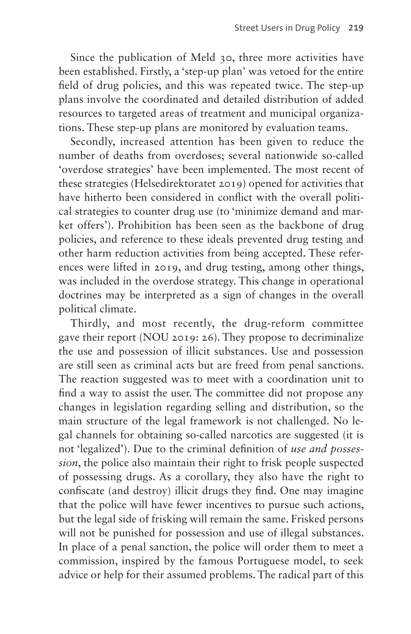Since the publication of Meld 30, three more activities have been established. Firstly, a 'step-up plan' was vetoed for the entire field of drug policies, and this was repeated twice. The step-up plans involve the coordinated and detailed distribution of added resources to targeted areas of treatment and municipal organizations. These step-up plans are monitored by evaluation teams.

Secondly, increased attention has been given to reduce the number of deaths from overdoses; several nationwide so-called 'overdose strategies' have been implemented. The most recent of these strategies (Helsedirektoratet 2019) opened for activities that have hitherto been considered in conflict with the overall political strategies to counter drug use (to 'minimize demand and market offers'). Prohibition has been seen as the backbone of drug policies, and reference to these ideals prevented drug testing and other harm reduction activities from being accepted. These references were lifted in 2019, and drug testing, among other things, was included in the overdose strategy. This change in operational doctrines may be interpreted as a sign of changes in the overall political climate.

Thirdly, and most recently, the drug-reform committee gave their report (NOU 2019: 26). They propose to decriminalize the use and possession of illicit substances. Use and possession are still seen as criminal acts but are freed from penal sanctions. The reaction suggested was to meet with a coordination unit to find a way to assist the user. The committee did not propose any changes in legislation regarding selling and distribution, so the main structure of the legal framework is not challenged. No legal channels for obtaining so-called narcotics are suggested (it is not 'legalized'). Due to the criminal definition of *use and possession*, the police also maintain their right to frisk people suspected of possessing drugs. As a corollary, they also have the right to confiscate (and destroy) illicit drugs they find. One may imagine that the police will have fewer incentives to pursue such actions, but the legal side of frisking will remain the same. Frisked persons will not be punished for possession and use of illegal substances. In place of a penal sanction, the police will order them to meet a commission, inspired by the famous Portuguese model, to seek advice or help for their assumed problems. The radical part of this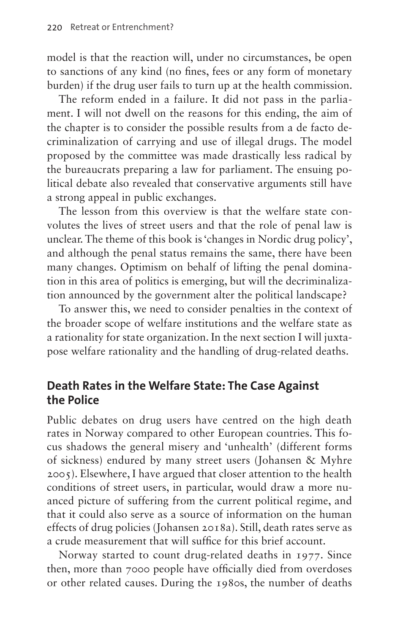model is that the reaction will, under no circumstances, be open to sanctions of any kind (no fines, fees or any form of monetary burden) if the drug user fails to turn up at the health commission.

The reform ended in a failure. It did not pass in the parliament. I will not dwell on the reasons for this ending, the aim of the chapter is to consider the possible results from a de facto decriminalization of carrying and use of illegal drugs. The model proposed by the committee was made drastically less radical by the bureaucrats preparing a law for parliament. The ensuing political debate also revealed that conservative arguments still have a strong appeal in public exchanges.

The lesson from this overview is that the welfare state convolutes the lives of street users and that the role of penal law is unclear. The theme of this book is 'changes in Nordic drug policy', and although the penal status remains the same, there have been many changes. Optimism on behalf of lifting the penal domination in this area of politics is emerging, but will the decriminalization announced by the government alter the political landscape?

To answer this, we need to consider penalties in the context of the broader scope of welfare institutions and the welfare state as a rationality for state organization. In the next section I will juxtapose welfare rationality and the handling of drug-related deaths.

### **Death Rates in the Welfare State: The Case Against the Police**

Public debates on drug users have centred on the high death rates in Norway compared to other European countries. This focus shadows the general misery and 'unhealth' (different forms of sickness) endured by many street users (Johansen & Myhre 2005). Elsewhere, I have argued that closer attention to the health conditions of street users, in particular, would draw a more nuanced picture of suffering from the current political regime, and that it could also serve as a source of information on the human effects of drug policies (Johansen 2018a). Still, death rates serve as a crude measurement that will suffice for this brief account.

Norway started to count drug-related deaths in 1977. Since then, more than 7000 people have officially died from overdoses or other related causes. During the 1980s, the number of deaths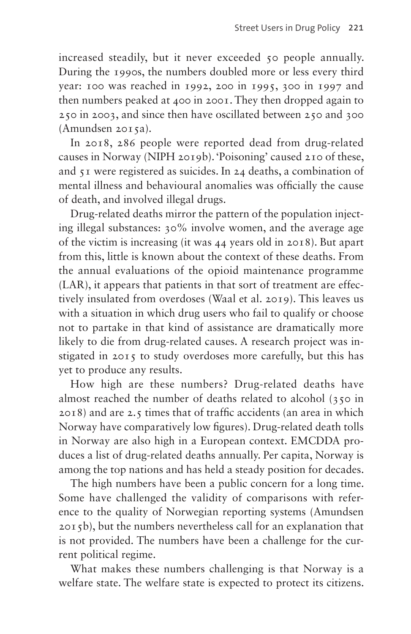increased steadily, but it never exceeded 50 people annually. During the 1990s, the numbers doubled more or less every third year: 100 was reached in 1992, 200 in 1995, 300 in 1997 and then numbers peaked at 400 in 2001. They then dropped again to 250 in 2003, and since then have oscillated between 250 and 300 (Amundsen 2015a).

In 2018, 286 people were reported dead from drug-related causes in Norway (NIPH 2019b). 'Poisoning' caused 210 of these, and 51 were registered as suicides. In 24 deaths, a combination of mental illness and behavioural anomalies was officially the cause of death, and involved illegal drugs.

Drug-related deaths mirror the pattern of the population injecting illegal substances: 30% involve women, and the average age of the victim is increasing (it was 44 years old in 2018). But apart from this, little is known about the context of these deaths. From the annual evaluations of the opioid maintenance programme (LAR), it appears that patients in that sort of treatment are effectively insulated from overdoses (Waal et al. 2019). This leaves us with a situation in which drug users who fail to qualify or choose not to partake in that kind of assistance are dramatically more likely to die from drug-related causes. A research project was instigated in 2015 to study overdoses more carefully, but this has yet to produce any results.

How high are these numbers? Drug-related deaths have almost reached the number of deaths related to alcohol (350 in 2018) and are 2.5 times that of traffic accidents (an area in which Norway have comparatively low figures). Drug-related death tolls in Norway are also high in a European context. EMCDDA produces a list of drug-related deaths annually. Per capita, Norway is among the top nations and has held a steady position for decades.

The high numbers have been a public concern for a long time. Some have challenged the validity of comparisons with reference to the quality of Norwegian reporting systems (Amundsen 2015b), but the numbers nevertheless call for an explanation that is not provided. The numbers have been a challenge for the current political regime.

What makes these numbers challenging is that Norway is a welfare state. The welfare state is expected to protect its citizens.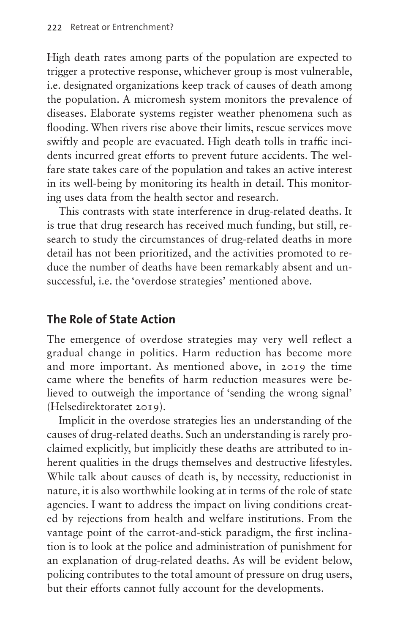High death rates among parts of the population are expected to trigger a protective response, whichever group is most vulnerable, i.e. designated organizations keep track of causes of death among the population. A micromesh system monitors the prevalence of diseases. Elaborate systems register weather phenomena such as flooding. When rivers rise above their limits, rescue services move swiftly and people are evacuated. High death tolls in traffic incidents incurred great efforts to prevent future accidents. The welfare state takes care of the population and takes an active interest in its well-being by monitoring its health in detail. This monitoring uses data from the health sector and research.

This contrasts with state interference in drug-related deaths. It is true that drug research has received much funding, but still, research to study the circumstances of drug-related deaths in more detail has not been prioritized, and the activities promoted to reduce the number of deaths have been remarkably absent and unsuccessful, i.e. the 'overdose strategies' mentioned above.

## **The Role of State Action**

The emergence of overdose strategies may very well reflect a gradual change in politics. Harm reduction has become more and more important. As mentioned above, in 2019 the time came where the benefits of harm reduction measures were believed to outweigh the importance of 'sending the wrong signal' (Helsedirektoratet 2019).

Implicit in the overdose strategies lies an understanding of the causes of drug-related deaths. Such an understanding is rarely proclaimed explicitly, but implicitly these deaths are attributed to inherent qualities in the drugs themselves and destructive lifestyles. While talk about causes of death is, by necessity, reductionist in nature, it is also worthwhile looking at in terms of the role of state agencies. I want to address the impact on living conditions created by rejections from health and welfare institutions. From the vantage point of the carrot-and-stick paradigm, the first inclination is to look at the police and administration of punishment for an explanation of drug-related deaths. As will be evident below, policing contributes to the total amount of pressure on drug users, but their efforts cannot fully account for the developments.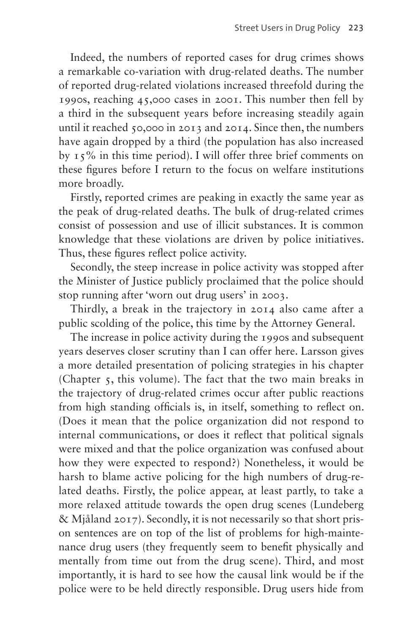Indeed, the numbers of reported cases for drug crimes shows a remarkable co-variation with drug-related deaths. The number of reported drug-related violations increased threefold during the 1990s, reaching 45,000 cases in 2001. This number then fell by a third in the subsequent years before increasing steadily again until it reached 50,000 in 2013 and 2014. Since then, the numbers have again dropped by a third (the population has also increased by 15% in this time period). I will offer three brief comments on these figures before I return to the focus on welfare institutions more broadly.

Firstly, reported crimes are peaking in exactly the same year as the peak of drug-related deaths. The bulk of drug-related crimes consist of possession and use of illicit substances. It is common knowledge that these violations are driven by police initiatives. Thus, these figures reflect police activity.

Secondly, the steep increase in police activity was stopped after the Minister of Justice publicly proclaimed that the police should stop running after 'worn out drug users' in 2003.

Thirdly, a break in the trajectory in 2014 also came after a public scolding of the police, this time by the Attorney General.

The increase in police activity during the 1990s and subsequent years deserves closer scrutiny than I can offer here. Larsson gives a more detailed presentation of policing strategies in his chapter (Chapter 5, this volume). The fact that the two main breaks in the trajectory of drug-related crimes occur after public reactions from high standing officials is, in itself, something to reflect on. (Does it mean that the police organization did not respond to internal communications, or does it reflect that political signals were mixed and that the police organization was confused about how they were expected to respond?) Nonetheless, it would be harsh to blame active policing for the high numbers of drug-related deaths. Firstly, the police appear, at least partly, to take a more relaxed attitude towards the open drug scenes (Lundeberg & Mjåland 2017). Secondly, it is not necessarily so that short prison sentences are on top of the list of problems for high-maintenance drug users (they frequently seem to benefit physically and mentally from time out from the drug scene). Third, and most importantly, it is hard to see how the causal link would be if the police were to be held directly responsible. Drug users hide from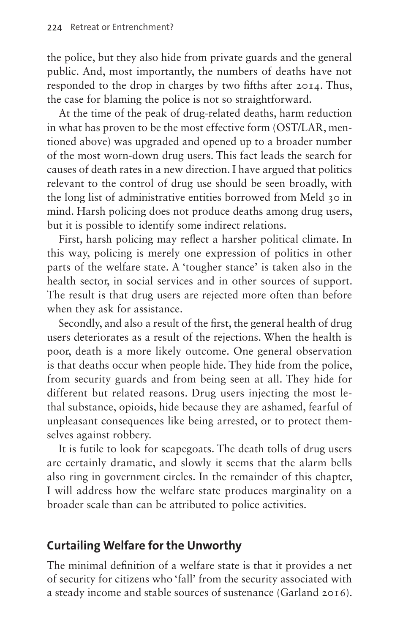the police, but they also hide from private guards and the general public. And, most importantly, the numbers of deaths have not responded to the drop in charges by two fifths after 2014. Thus, the case for blaming the police is not so straightforward.

At the time of the peak of drug-related deaths, harm reduction in what has proven to be the most effective form (OST/LAR, mentioned above) was upgraded and opened up to a broader number of the most worn-down drug users. This fact leads the search for causes of death rates in a new direction. I have argued that politics relevant to the control of drug use should be seen broadly, with the long list of administrative entities borrowed from Meld 30 in mind. Harsh policing does not produce deaths among drug users, but it is possible to identify some indirect relations.

First, harsh policing may reflect a harsher political climate. In this way, policing is merely one expression of politics in other parts of the welfare state. A 'tougher stance' is taken also in the health sector, in social services and in other sources of support. The result is that drug users are rejected more often than before when they ask for assistance.

Secondly, and also a result of the first, the general health of drug users deteriorates as a result of the rejections. When the health is poor, death is a more likely outcome. One general observation is that deaths occur when people hide. They hide from the police, from security guards and from being seen at all. They hide for different but related reasons. Drug users injecting the most lethal substance, opioids, hide because they are ashamed, fearful of unpleasant consequences like being arrested, or to protect themselves against robbery.

It is futile to look for scapegoats. The death tolls of drug users are certainly dramatic, and slowly it seems that the alarm bells also ring in government circles. In the remainder of this chapter, I will address how the welfare state produces marginality on a broader scale than can be attributed to police activities.

### **Curtailing Welfare for the Unworthy**

The minimal definition of a welfare state is that it provides a net of security for citizens who 'fall' from the security associated with a steady income and stable sources of sustenance (Garland 2016).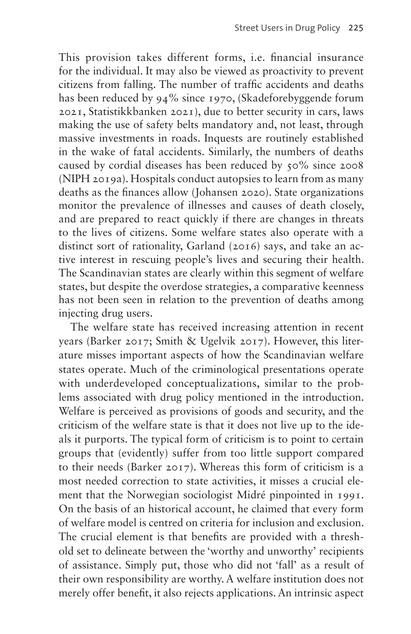This provision takes different forms, i.e. financial insurance for the individual. It may also be viewed as proactivity to prevent citizens from falling. The number of traffic accidents and deaths has been reduced by 94% since 1970, (Skadeforebyggende forum 2021, Statistikkbanken 2021), due to better security in cars, laws making the use of safety belts mandatory and, not least, through massive investments in roads. Inquests are routinely established in the wake of fatal accidents. Similarly, the numbers of deaths caused by cordial diseases has been reduced by 50% since 2008 (NIPH 2019a). Hospitals conduct autopsies to learn from as many deaths as the finances allow (Johansen 2020). State organizations monitor the prevalence of illnesses and causes of death closely, and are prepared to react quickly if there are changes in threats to the lives of citizens. Some welfare states also operate with a distinct sort of rationality, Garland (2016) says, and take an active interest in rescuing people's lives and securing their health. The Scandinavian states are clearly within this segment of welfare states, but despite the overdose strategies, a comparative keenness has not been seen in relation to the prevention of deaths among injecting drug users.

The welfare state has received increasing attention in recent years (Barker 2017; Smith & Ugelvik 2017). However, this literature misses important aspects of how the Scandinavian welfare states operate. Much of the criminological presentations operate with underdeveloped conceptualizations, similar to the problems associated with drug policy mentioned in the introduction. Welfare is perceived as provisions of goods and security, and the criticism of the welfare state is that it does not live up to the ideals it purports. The typical form of criticism is to point to certain groups that (evidently) suffer from too little support compared to their needs (Barker 2017). Whereas this form of criticism is a most needed correction to state activities, it misses a crucial element that the Norwegian sociologist Midré pinpointed in 1991. On the basis of an historical account, he claimed that every form of welfare model is centred on criteria for inclusion and exclusion. The crucial element is that benefits are provided with a threshold set to delineate between the 'worthy and unworthy' recipients of assistance. Simply put, those who did not 'fall' as a result of their own responsibility are worthy. A welfare institution does not merely offer benefit, it also rejects applications. An intrinsic aspect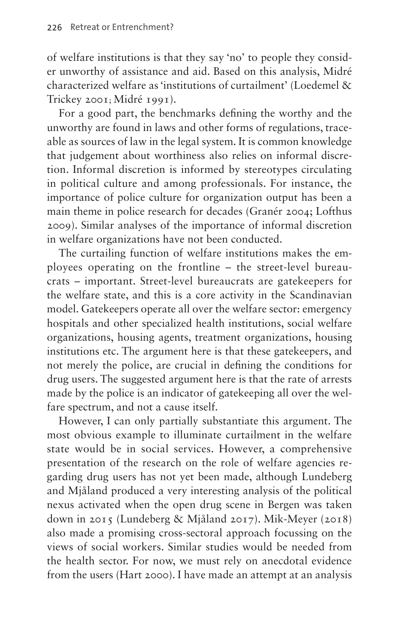of welfare institutions is that they say 'no' to people they consider unworthy of assistance and aid. Based on this analysis, Midré characterized welfare as 'institutions of curtailment' (Loedemel & Trickey 2001; Midré 1991).

For a good part, the benchmarks defining the worthy and the unworthy are found in laws and other forms of regulations, traceable as sources of law in the legal system. It is common knowledge that judgement about worthiness also relies on informal discretion. Informal discretion is informed by stereotypes circulating in political culture and among professionals. For instance, the importance of police culture for organization output has been a main theme in police research for decades (Granér 2004; Lofthus 2009). Similar analyses of the importance of informal discretion in welfare organizations have not been conducted.

The curtailing function of welfare institutions makes the employees operating on the frontline – the street-level bureaucrats – important. Street-level bureaucrats are gatekeepers for the welfare state, and this is a core activity in the Scandinavian model. Gatekeepers operate all over the welfare sector: emergency hospitals and other specialized health institutions, social welfare organizations, housing agents, treatment organizations, housing institutions etc. The argument here is that these gatekeepers, and not merely the police, are crucial in defining the conditions for drug users. The suggested argument here is that the rate of arrests made by the police is an indicator of gatekeeping all over the welfare spectrum, and not a cause itself.

However, I can only partially substantiate this argument. The most obvious example to illuminate curtailment in the welfare state would be in social services. However, a comprehensive presentation of the research on the role of welfare agencies regarding drug users has not yet been made, although Lundeberg and Mjåland produced a very interesting analysis of the political nexus activated when the open drug scene in Bergen was taken down in 2015 (Lundeberg & Mjåland 2017). Mik-Meyer (2018) also made a promising cross-sectoral approach focussing on the views of social workers. Similar studies would be needed from the health sector. For now, we must rely on anecdotal evidence from the users (Hart 2000). I have made an attempt at an analysis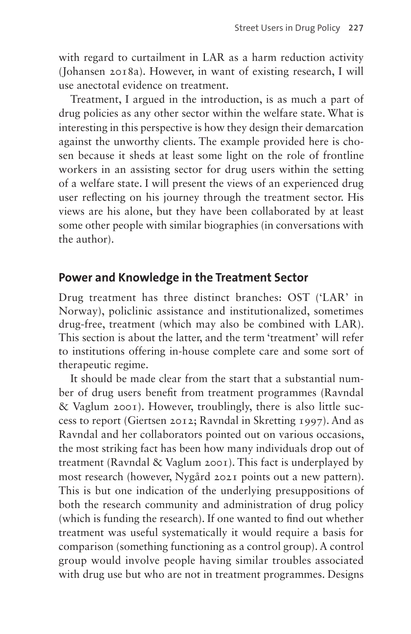with regard to curtailment in LAR as a harm reduction activity (Johansen 2018a). However, in want of existing research, I will use anectotal evidence on treatment.

Treatment, I argued in the introduction, is as much a part of drug policies as any other sector within the welfare state. What is interesting in this perspective is how they design their demarcation against the unworthy clients. The example provided here is chosen because it sheds at least some light on the role of frontline workers in an assisting sector for drug users within the setting of a welfare state. I will present the views of an experienced drug user reflecting on his journey through the treatment sector. His views are his alone, but they have been collaborated by at least some other people with similar biographies (in conversations with the author).

#### **Power and Knowledge in the Treatment Sector**

Drug treatment has three distinct branches: OST ('LAR' in Norway), policlinic assistance and institutionalized, sometimes drug-free, treatment (which may also be combined with LAR). This section is about the latter, and the term 'treatment' will refer to institutions offering in-house complete care and some sort of therapeutic regime.

It should be made clear from the start that a substantial number of drug users benefit from treatment programmes (Ravndal & Vaglum 2001). However, troublingly, there is also little success to report (Giertsen 2012; Ravndal in Skretting 1997). And as Ravndal and her collaborators pointed out on various occasions, the most striking fact has been how many individuals drop out of treatment (Ravndal & Vaglum 2001). This fact is underplayed by most research (however, Nygård 2021 points out a new pattern). This is but one indication of the underlying presuppositions of both the research community and administration of drug policy (which is funding the research). If one wanted to find out whether treatment was useful systematically it would require a basis for comparison (something functioning as a control group). A control group would involve people having similar troubles associated with drug use but who are not in treatment programmes. Designs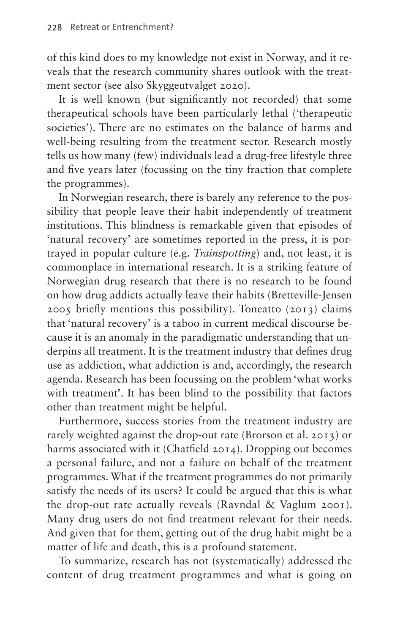of this kind does to my knowledge not exist in Norway, and it reveals that the research community shares outlook with the treatment sector (see also Skyggeutvalget 2020).

It is well known (but significantly not recorded) that some therapeutical schools have been particularly lethal ('therapeutic societies'). There are no estimates on the balance of harms and well-being resulting from the treatment sector. Research mostly tells us how many (few) individuals lead a drug-free lifestyle three and five years later (focussing on the tiny fraction that complete the programmes).

In Norwegian research, there is barely any reference to the possibility that people leave their habit independently of treatment institutions. This blindness is remarkable given that episodes of 'natural recovery' are sometimes reported in the press, it is portrayed in popular culture (e.g. *Trainspotting*) and, not least, it is commonplace in international research. It is a striking feature of Norwegian drug research that there is no research to be found on how drug addicts actually leave their habits (Bretteville-Jensen 2005 briefly mentions this possibility). Toneatto (2013) claims that 'natural recovery' is a taboo in current medical discourse because it is an anomaly in the paradigmatic understanding that underpins all treatment. It is the treatment industry that defines drug use as addiction, what addiction is and, accordingly, the research agenda. Research has been focussing on the problem 'what works with treatment'. It has been blind to the possibility that factors other than treatment might be helpful.

Furthermore, success stories from the treatment industry are rarely weighted against the drop-out rate (Brorson et al. 2013) or harms associated with it (Chatfield 2014). Dropping out becomes a personal failure, and not a failure on behalf of the treatment programmes. What if the treatment programmes do not primarily satisfy the needs of its users? It could be argued that this is what the drop-out rate actually reveals (Ravndal & Vaglum 2001). Many drug users do not find treatment relevant for their needs. And given that for them, getting out of the drug habit might be a matter of life and death, this is a profound statement.

To summarize, research has not (systematically) addressed the content of drug treatment programmes and what is going on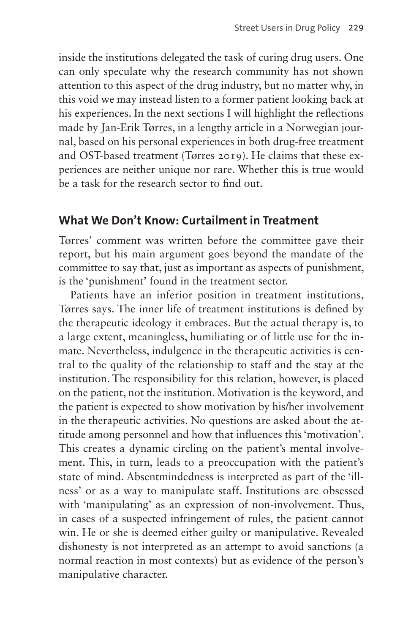inside the institutions delegated the task of curing drug users. One can only speculate why the research community has not shown attention to this aspect of the drug industry, but no matter why, in this void we may instead listen to a former patient looking back at his experiences. In the next sections I will highlight the reflections made by Jan-Erik Tørres, in a lengthy article in a Norwegian journal, based on his personal experiences in both drug-free treatment and OST-based treatment (Tørres 2019). He claims that these experiences are neither unique nor rare. Whether this is true would be a task for the research sector to find out.

#### **What We Don't Know: Curtailment in Treatment**

Tørres' comment was written before the committee gave their report, but his main argument goes beyond the mandate of the committee to say that, just as important as aspects of punishment, is the 'punishment' found in the treatment sector.

Patients have an inferior position in treatment institutions, Tørres says. The inner life of treatment institutions is defined by the therapeutic ideology it embraces. But the actual therapy is, to a large extent, meaningless, humiliating or of little use for the inmate. Nevertheless, indulgence in the therapeutic activities is central to the quality of the relationship to staff and the stay at the institution. The responsibility for this relation, however, is placed on the patient, not the institution. Motivation is the keyword, and the patient is expected to show motivation by his/her involvement in the therapeutic activities. No questions are asked about the attitude among personnel and how that influences this 'motivation'. This creates a dynamic circling on the patient's mental involvement. This, in turn, leads to a preoccupation with the patient's state of mind. Absentmindedness is interpreted as part of the 'illness' or as a way to manipulate staff. Institutions are obsessed with 'manipulating' as an expression of non-involvement. Thus, in cases of a suspected infringement of rules, the patient cannot win. He or she is deemed either guilty or manipulative. Revealed dishonesty is not interpreted as an attempt to avoid sanctions (a normal reaction in most contexts) but as evidence of the person's manipulative character.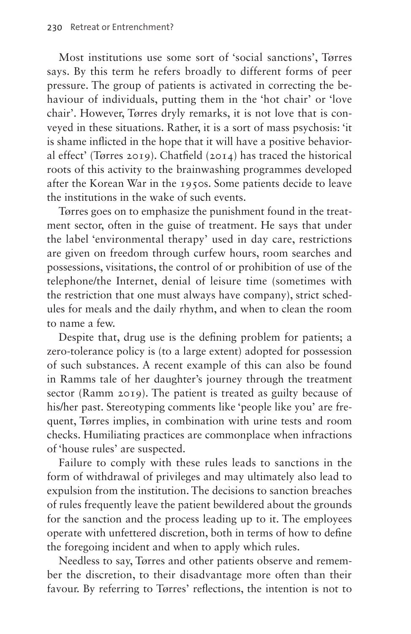Most institutions use some sort of 'social sanctions', Tørres says. By this term he refers broadly to different forms of peer pressure. The group of patients is activated in correcting the behaviour of individuals, putting them in the 'hot chair' or 'love chair'. However, Tørres dryly remarks, it is not love that is conveyed in these situations. Rather, it is a sort of mass psychosis: 'it is shame inflicted in the hope that it will have a positive behavioral effect' (Tørres 2019). Chatfield (2014) has traced the historical roots of this activity to the brainwashing programmes developed after the Korean War in the 1950s. Some patients decide to leave the institutions in the wake of such events.

Tørres goes on to emphasize the punishment found in the treatment sector, often in the guise of treatment. He says that under the label 'environmental therapy' used in day care, restrictions are given on freedom through curfew hours, room searches and possessions, visitations, the control of or prohibition of use of the telephone/the Internet, denial of leisure time (sometimes with the restriction that one must always have company), strict schedules for meals and the daily rhythm, and when to clean the room to name a few.

Despite that, drug use is the defining problem for patients; a zero-tolerance policy is (to a large extent) adopted for possession of such substances. A recent example of this can also be found in Ramms tale of her daughter's journey through the treatment sector (Ramm 2019). The patient is treated as guilty because of his/her past. Stereotyping comments like 'people like you' are frequent, Tørres implies, in combination with urine tests and room checks. Humiliating practices are commonplace when infractions of 'house rules' are suspected.

Failure to comply with these rules leads to sanctions in the form of withdrawal of privileges and may ultimately also lead to expulsion from the institution. The decisions to sanction breaches of rules frequently leave the patient bewildered about the grounds for the sanction and the process leading up to it. The employees operate with unfettered discretion, both in terms of how to define the foregoing incident and when to apply which rules.

Needless to say, Tørres and other patients observe and remember the discretion, to their disadvantage more often than their favour. By referring to Tørres' reflections, the intention is not to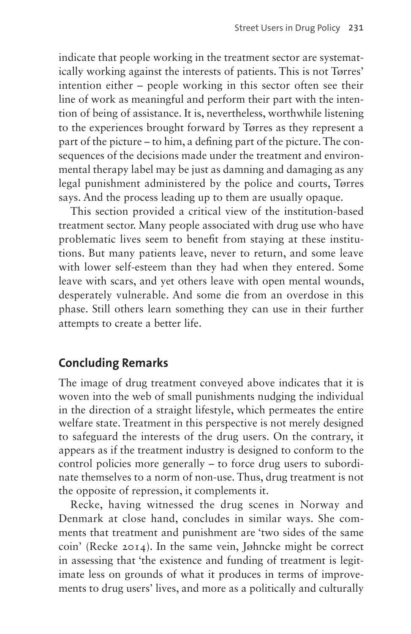indicate that people working in the treatment sector are systematically working against the interests of patients. This is not Tørres' intention either – people working in this sector often see their line of work as meaningful and perform their part with the intention of being of assistance. It is, nevertheless, worthwhile listening to the experiences brought forward by Tørres as they represent a part of the picture – to him, a defining part of the picture. The consequences of the decisions made under the treatment and environmental therapy label may be just as damning and damaging as any legal punishment administered by the police and courts, Tørres says. And the process leading up to them are usually opaque.

This section provided a critical view of the institution-based treatment sector. Many people associated with drug use who have problematic lives seem to benefit from staying at these institutions. But many patients leave, never to return, and some leave with lower self-esteem than they had when they entered. Some leave with scars, and yet others leave with open mental wounds, desperately vulnerable. And some die from an overdose in this phase. Still others learn something they can use in their further attempts to create a better life.

#### **Concluding Remarks**

The image of drug treatment conveyed above indicates that it is woven into the web of small punishments nudging the individual in the direction of a straight lifestyle, which permeates the entire welfare state. Treatment in this perspective is not merely designed to safeguard the interests of the drug users. On the contrary, it appears as if the treatment industry is designed to conform to the control policies more generally – to force drug users to subordinate themselves to a norm of non-use. Thus, drug treatment is not the opposite of repression, it complements it.

Recke, having witnessed the drug scenes in Norway and Denmark at close hand, concludes in similar ways. She comments that treatment and punishment are 'two sides of the same coin' (Recke 2014). In the same vein, Jøhncke might be correct in assessing that 'the existence and funding of treatment is legitimate less on grounds of what it produces in terms of improvements to drug users' lives, and more as a politically and culturally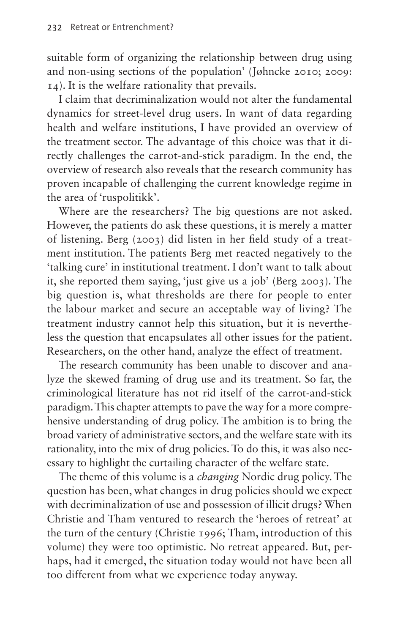suitable form of organizing the relationship between drug using and non-using sections of the population' (Jøhncke 2010; 2009: 14). It is the welfare rationality that prevails.

I claim that decriminalization would not alter the fundamental dynamics for street-level drug users. In want of data regarding health and welfare institutions, I have provided an overview of the treatment sector. The advantage of this choice was that it directly challenges the carrot-and-stick paradigm. In the end, the overview of research also reveals that the research community has proven incapable of challenging the current knowledge regime in the area of 'ruspolitikk'.

Where are the researchers? The big questions are not asked. However, the patients do ask these questions, it is merely a matter of listening. Berg (2003) did listen in her field study of a treatment institution. The patients Berg met reacted negatively to the 'talking cure' in institutional treatment. I don't want to talk about it, she reported them saying, 'just give us a job' (Berg 2003). The big question is, what thresholds are there for people to enter the labour market and secure an acceptable way of living? The treatment industry cannot help this situation, but it is nevertheless the question that encapsulates all other issues for the patient. Researchers, on the other hand, analyze the effect of treatment.

The research community has been unable to discover and analyze the skewed framing of drug use and its treatment. So far, the criminological literature has not rid itself of the carrot-and-stick paradigm. This chapter attempts to pave the way for a more comprehensive understanding of drug policy. The ambition is to bring the broad variety of administrative sectors, and the welfare state with its rationality, into the mix of drug policies. To do this, it was also necessary to highlight the curtailing character of the welfare state.

The theme of this volume is a *changing* Nordic drug policy. The question has been, what changes in drug policies should we expect with decriminalization of use and possession of illicit drugs? When Christie and Tham ventured to research the 'heroes of retreat' at the turn of the century (Christie 1996; Tham, introduction of this volume) they were too optimistic. No retreat appeared. But, perhaps, had it emerged, the situation today would not have been all too different from what we experience today anyway.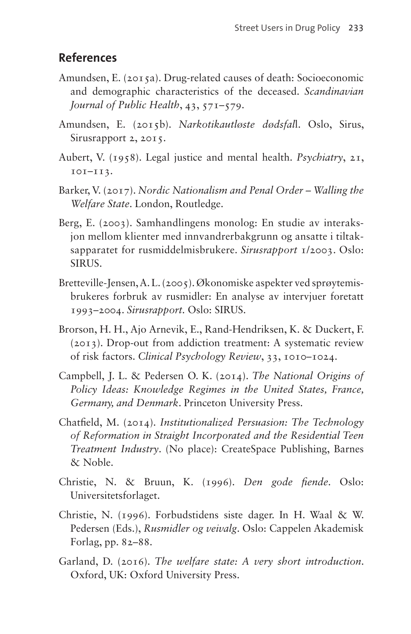### **References**

- Amundsen, E. (2015a). Drug-related causes of death: Socioeconomic and demographic characteristics of the deceased. *Scandinavian Journal of Public Health*, 43, 571–579.
- Amundsen, E. (2015b). *Narkotikautløste dødsfal*l. Oslo, Sirus, Sirusrapport 2, 2015.
- Aubert, V. (1958). Legal justice and mental health. *Psychiatry*, 21, 101–113.
- Barker, V. (2017). *Nordic Nationalism and Penal Order Walling the Welfare State*. London, Routledge.
- Berg, E. (2003). Samhandlingens monolog: En studie av interaksjon mellom klienter med innvandrerbakgrunn og ansatte i tiltaksapparatet for rusmiddelmisbrukere. *Sirusrapport* 1/2003. Oslo: **SIRUS**.
- Bretteville-Jensen, A. L. (2005). Økonomiske aspekter ved sprøytemisbrukeres forbruk av rusmidler: En analyse av intervjuer foretatt 1993–2004. *Sirusrapport.* Oslo: SIRUS.
- Brorson, H. H., Ajo Arnevik, E., Rand-Hendriksen, K. & Duckert, F. (2013). Drop-out from addiction treatment: A systematic review of risk factors. *Clinical Psychology Review*, 33, 1010–1024.
- Campbell, J. L. & Pedersen O. K. (2014). *The National Origins of Policy Ideas: Knowledge Regimes in the United States, France, Germany, and Denmark*. Princeton University Press.
- Chatfield, M. (2014). *Institutionalized Persuasion: The Technology of Reformation in Straight Incorporated and the Residential Teen Treatment Industry*. (No place): CreateSpace Publishing, Barnes & Noble.
- Christie, N. & Bruun, K. (1996). *Den gode fiende*. Oslo: Universitetsforlaget.
- Christie, N. (1996). Forbudstidens siste dager. In H. Waal & W. Pedersen (Eds.), *Rusmidler og veivalg*. Oslo: Cappelen Akademisk Forlag, pp. 82–88.
- Garland, D. (2016). *The welfare state: A very short introduction*. Oxford, UK: Oxford University Press.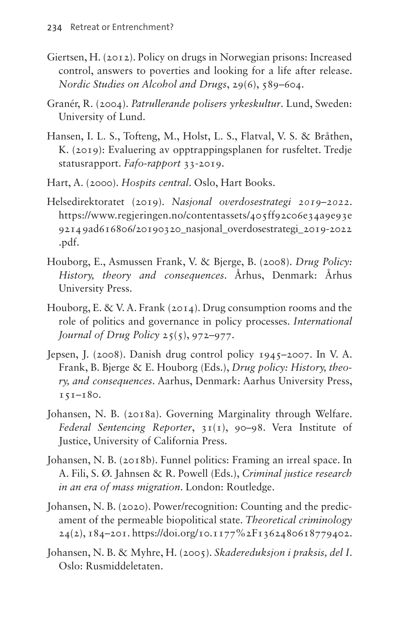- Giertsen, H. (2012). Policy on drugs in Norwegian prisons: Increased control, answers to poverties and looking for a life after release. *Nordic Studies on Alcohol and Drugs*, 29(6), 589–604.
- Granér, R. (2004). *Patrullerande polisers yrkeskultur*. Lund, Sweden: University of Lund.
- Hansen, I. L. S., Tofteng, M., Holst, L. S., Flatval, V. S. & Bråthen, K. (2019): Evaluering av opptrappingsplanen for rusfeltet. Tredje statusrapport. *Fafo-rapport* 33-2019.
- Hart, A. (2000). *Hospits central*. Oslo, Hart Books.
- Helsedirektoratet (2019). *Nasjonal overdosestrategi 2019–2022*. [https://www.regjeringen.no/contentassets/405ff92c06e34a9e93e](https://www.regjeringen.no/contentassets/405ff92c06e34a9e93e9214 9ad616806/20190320_nasjonal_overdosestrategi_2019-2022.pdf) [9214 9ad616806/20190320\\_nasjonal\\_overdosestrategi\\_2019-2022](https://www.regjeringen.no/contentassets/405ff92c06e34a9e93e9214 9ad616806/20190320_nasjonal_overdosestrategi_2019-2022.pdf) [.pdf.](https://www.regjeringen.no/contentassets/405ff92c06e34a9e93e9214 9ad616806/20190320_nasjonal_overdosestrategi_2019-2022.pdf)
- Houborg, E., Asmussen Frank, V. & Bjerge, B. (2008). *Drug Policy: History, theory and consequences*. Århus, Denmark: Århus University Press.
- Houborg, E. & V. A. Frank (2014). Drug consumption rooms and the role of politics and governance in policy processes. *International Journal of Drug Policy* 25(5), 972–977.
- Jepsen, J. (2008). Danish drug control policy 1945–2007. In V. A. Frank, B. Bjerge & E. Houborg (Eds.), *Drug policy: History, theory, and consequences*. Aarhus, Denmark: Aarhus University Press, 151–180.
- Johansen, N. B. (2018a). Governing Marginality through Welfare. *Federal Sentencing Reporter*, 31(1), 90–98. Vera Institute of Justice, University of California Press.
- Johansen, N. B. (2018b). Funnel politics: Framing an irreal space. In A. Fili, S. Ø. Jahnsen & R. Powell (Eds.), *Criminal justice research in an era of mass migration*. London: Routledge.
- Johansen, N. B. (2020). Power/recognition: Counting and the predicament of the permeable biopolitical state. *Theoretical criminology*  24(2), 184–201. [https://doi.org/10.1177%2F1362480618779402.](https://doi.org/10.1177%2F1362480618779402)
- Johansen, N. B. & Myhre, H. (2005). *Skadereduksjon i praksis, del I*. Oslo: Rusmiddeletaten.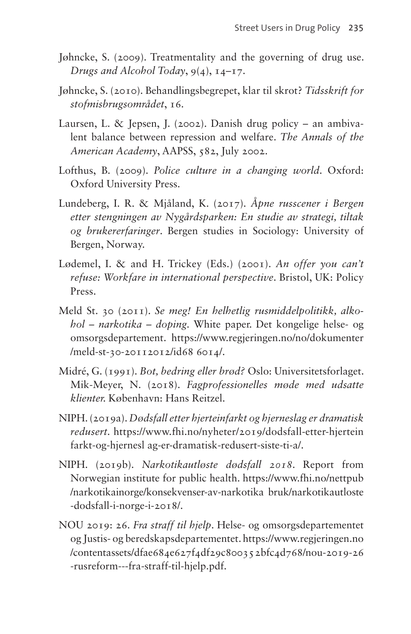- Jøhncke, S. (2009). Treatmentality and the governing of drug use. *Drugs and Alcohol Today*, 9(4), 14–17.
- Jøhncke, S. (2010). Behandlingsbegrepet, klar til skrot? *Tidsskrift for stofmisbrugsområdet*, 16.
- Laursen, L. & Jepsen, J. (2002). Danish drug policy an ambivalent balance between repression and welfare. *The Annals of the American Academy*, AAPSS, 582, July 2002.
- Lofthus, B. (2009). *Police culture in a changing world*. Oxford: Oxford University Press.
- Lundeberg, I. R. & Mjåland, K. (2017). *Åpne russcener i Bergen etter stengningen av Nygårdsparken: En studie av strategi, tiltak og brukererfaringer*. Bergen studies in Sociology: University of Bergen, Norway.
- Lødemel, I. & and H. Trickey (Eds.) (2001). *An offer you can't refuse: Workfare in international perspective*. Bristol, UK: Policy Press.
- Meld St. 30 (2011). *Se meg! En helhetlig rusmiddelpolitikk, alkohol – narkotika – doping.* White paper. Det kongelige helse- og omsorgsdepartement. [https://www.regjeringen.no/no/dokumenter](https://www.regjeringen.no/no/dokumenter/meld-st-30-20112012/id68 6014/) [/meld-st-30-20112012/id68 6014/.](https://www.regjeringen.no/no/dokumenter/meld-st-30-20112012/id68 6014/)
- Midré, G. (1991). *Bot, bedring eller brød?* Oslo: Universitetsforlaget. Mik-Meyer, N. (2018). *Fagprofessionelles møde med udsatte klienter.* København: Hans Reitzel.
- NIPH. (2019a). *Dødsfall etter hjerteinfarkt og hjerneslag er dramatisk redusert.* [https://www.fhi.no/nyheter/2019/dodsfall-etter-hjertein](https://www.fhi.no/nyheter/2019/dodsfall-etter-hjerteinfarkt-og-hjernesl ag-er-dramatisk-redusert-siste-ti-a/) [farkt-og-hjernesl ag-er-dramatisk-redusert-siste-ti-a/.](https://www.fhi.no/nyheter/2019/dodsfall-etter-hjerteinfarkt-og-hjernesl ag-er-dramatisk-redusert-siste-ti-a/)
- NIPH. (2019b). *Narkotikautløste dødsfall 2018*. Report from Norwegian institute for public health. [https://www.fhi.no/nettpub](https://www.fhi.no/nettpub/narkotikainorge/konsekvenser-av-narkotika bruk/narkotikautloste-dodsfall-i-norge-i-2018/) [/narkotikainorge/konsekvenser-av-narkotika bruk/narkotikautloste](https://www.fhi.no/nettpub/narkotikainorge/konsekvenser-av-narkotika bruk/narkotikautloste-dodsfall-i-norge-i-2018/) [-dodsfall-i-norge-i-2018/](https://www.fhi.no/nettpub/narkotikainorge/konsekvenser-av-narkotika bruk/narkotikautloste-dodsfall-i-norge-i-2018/).
- NOU 2019: 26. *Fra straff til hjelp*. Helse- og omsorgsdepartementet og Justis- og beredskapsdepartementet. [https://www.regjeringen.no](https://www.regjeringen.no/contentassets/dfae684e627f4df29c80035 2bfc4d768/nou-2019-26-rusreform---fra-straff-til-hjelp.pdf) [/contentassets/dfae684e627f4df29c80035 2bfc4d768/nou-2019-26](https://www.regjeringen.no/contentassets/dfae684e627f4df29c80035 2bfc4d768/nou-2019-26-rusreform---fra-straff-til-hjelp.pdf) [-rusreform---fra-straff-til-hjelp.pdf](https://www.regjeringen.no/contentassets/dfae684e627f4df29c80035 2bfc4d768/nou-2019-26-rusreform---fra-straff-til-hjelp.pdf).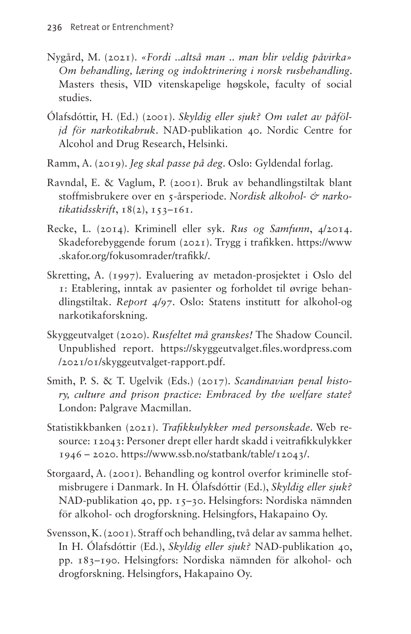- Nygård, M. (2021). *«Fordi ..altså man .. man blir veldig påvirka» Om behandling, læring og indoktrinering i norsk rusbehandling*. Masters thesis, VID vitenskapelige høgskole, faculty of social studies.
- Ólafsdóttir, H. (Ed.) (2001). *Skyldig eller sjuk? Om valet av påföljd för narkotikabruk*. NAD-publikation 40. Nordic Centre for Alcohol and Drug Research, Helsinki.
- Ramm, A. (2019). *Jeg skal passe på deg*. Oslo: Gyldendal forlag.
- Ravndal, E. & Vaglum, P. (2001). Bruk av behandlingstiltak blant stoffmisbrukere over en 5-årsperiode. *Nordisk alkohol- & narkotikatidsskrift*, 18(2), 153–161.
- Recke, L. (2014). Kriminell eller syk. *Rus og Samfunn*, 4/2014. Skadeforebyggende forum (2021). Trygg i trafikken. [https://www](https://www.skafor.org/fokusomrader/trafikk/) [.skafor.org/fokusomrader/trafikk/.](https://www.skafor.org/fokusomrader/trafikk/)
- Skretting, A. (1997). Evaluering av metadon-prosjektet i Oslo del 1: Etablering, inntak av pasienter og forholdet til øvrige behandlingstiltak. *Report 4/97*. Oslo: Statens institutt for alkohol-og narkotikaforskning.
- Skyggeutvalget (2020). *Rusfeltet må granskes!* The Shadow Council. Unpublished report. [https://skyggeutvalget.files.wordpress.com](https://skyggeutvalget.files.wordpress.com/2021/01/skyggeutvalget-rapport.pdf) [/2021/01/skyggeutvalget-rapport.pdf](https://skyggeutvalget.files.wordpress.com/2021/01/skyggeutvalget-rapport.pdf).
- Smith, P. S. & T. Ugelvik (Eds.) (2017). *Scandinavian penal history, culture and prison practice: Embraced by the welfare state?*  London: Palgrave Macmillan.
- Statistikkbanken (2021). *Trafikkulykker med personskade*. Web resource: 12043: Personer drept eller hardt skadd i veitrafikkulykker 1946 – 2020. [https://www.ssb.no/statbank/table/12043/.](https://www.ssb.no/statbank/table/12043/)
- Storgaard, A. (2001). Behandling og kontrol overfor kriminelle stofmisbrugere i Danmark. In H. Ólafsdóttir (Ed.), *Skyldig eller sjuk?*  NAD-publikation 40, pp. 15–30. Helsingfors: Nordiska nämnden för alkohol- och drogforskning. Helsingfors, Hakapaino Oy.
- Svensson, K. (2001). Straff och behandling, två delar av samma helhet. In H. Ólafsdóttir (Ed.), *Skyldig eller sjuk?* NAD-publikation 40, pp. 183–190. Helsingfors: Nordiska nämnden för alkohol- och drogforskning. Helsingfors, Hakapaino Oy.